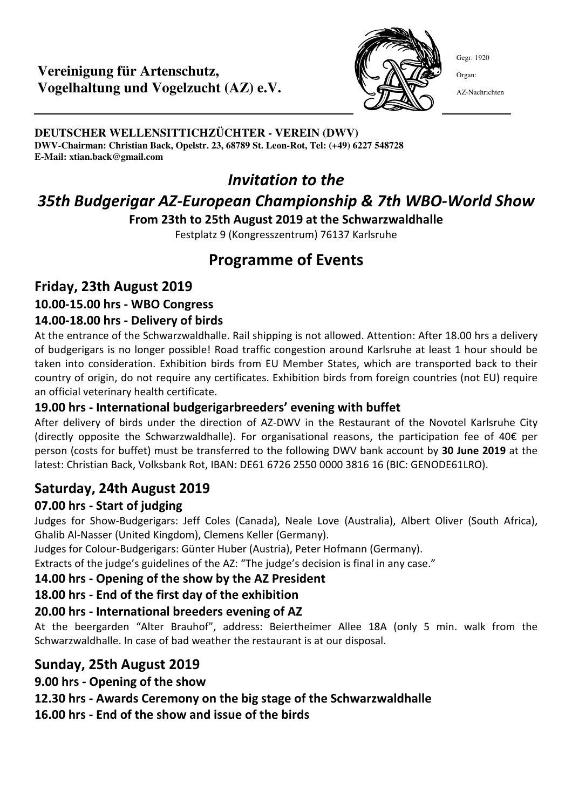### **Vereinigung für Artenschutz, Vogelhaltung und Vogelzucht (AZ) e.V.**



Gegr. 1920

Organ:

AZ-Nachrichten

**DEUTSCHER WELLENSITTICHZÜCHTER - VEREIN (DWV) DWV-Chairman: Christian Back, Opelstr. 23, 68789 St. Leon-Rot, Tel: (+49) 6227 548728 E-Mail: xtian.back@gmail.com**

## *Invitation to the*

# *35th Budgerigar AZ-European Championship & 7th WBO-World Show*

**From 23th to 25th August 2019 at the Schwarzwaldhalle** 

Festplatz 9 (Kongresszentrum) 76137 Karlsruhe

## **Programme of Events**

### **Friday, 23th August 2019**

### **10.00-15.00 hrs - WBO Congress**

#### **14.00-18.00 hrs - Delivery of birds**

At the entrance of the Schwarzwaldhalle. Rail shipping is not allowed. Attention: After 18.00 hrs a delivery of budgerigars is no longer possible! Road traffic congestion around Karlsruhe at least 1 hour should be taken into consideration. Exhibition birds from EU Member States, which are transported back to their country of origin, do not require any certificates. Exhibition birds from foreign countries (not EU) require an official veterinary health certificate.

#### **19.00 hrs - International budgerigarbreeders' evening with buffet**

After delivery of birds under the direction of AZ-DWV in the Restaurant of the Novotel Karlsruhe City (directly opposite the Schwarzwaldhalle). For organisational reasons, the participation fee of 40€ per person (costs for buffet) must be transferred to the following DWV bank account by **30 June 2019** at the latest: Christian Back, Volksbank Rot, IBAN: DE61 6726 2550 0000 3816 16 (BIC: GENODE61LRO).

## **Saturday, 24th August 2019**

#### **07.00 hrs - Start of judging**

Judges for Show-Budgerigars: Jeff Coles (Canada), Neale Love (Australia), Albert Oliver (South Africa), Ghalib Al-Nasser (United Kingdom), Clemens Keller (Germany).

Judges for Colour-Budgerigars: Günter Huber (Austria), Peter Hofmann (Germany).

Extracts of the judge's guidelines of the AZ: "The judge's decision is final in any case."

#### **14.00 hrs - Opening of the show by the AZ President**

#### **18.00 hrs - End of the first day of the exhibition**

#### **20.00 hrs - International breeders evening of AZ**

At the beergarden "Alter Brauhof", address: Beiertheimer Allee 18A (only 5 min. walk from the Schwarzwaldhalle. In case of bad weather the restaurant is at our disposal.

## **Sunday, 25th August 2019**

**9.00 hrs - Opening of the show** 

#### **12.30 hrs - Awards Ceremony on the big stage of the Schwarzwaldhalle**

**16.00 hrs - End of the show and issue of the birds**